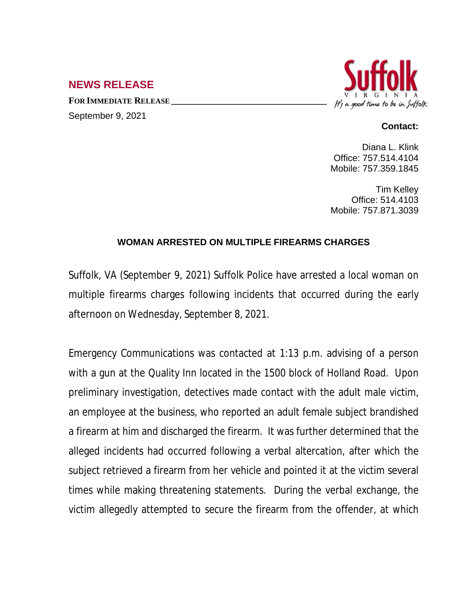## **NEWS RELEASE**

**FOR IMMEDIATE RELEASE \_\_\_\_\_\_\_\_\_\_\_\_\_\_\_\_\_\_\_\_\_\_\_\_\_\_\_\_\_\_\_\_\_\_** September 9, 2021



## **Contact:**

Diana L. Klink Office: 757.514.4104 Mobile: 757.359.1845

Tim Kelley Office: 514.4103 Mobile: 757.871.3039

## **WOMAN ARRESTED ON MULTIPLE FIREARMS CHARGES**

Suffolk, VA (September 9, 2021) Suffolk Police have arrested a local woman on multiple firearms charges following incidents that occurred during the early afternoon on Wednesday, September 8, 2021.

Emergency Communications was contacted at 1:13 p.m. advising of a person with a gun at the Quality Inn located in the 1500 block of Holland Road. Upon preliminary investigation, detectives made contact with the adult male victim, an employee at the business, who reported an adult female subject brandished a firearm at him and discharged the firearm. It was further determined that the alleged incidents had occurred following a verbal altercation, after which the subject retrieved a firearm from her vehicle and pointed it at the victim several times while making threatening statements. During the verbal exchange, the victim allegedly attempted to secure the firearm from the offender, at which